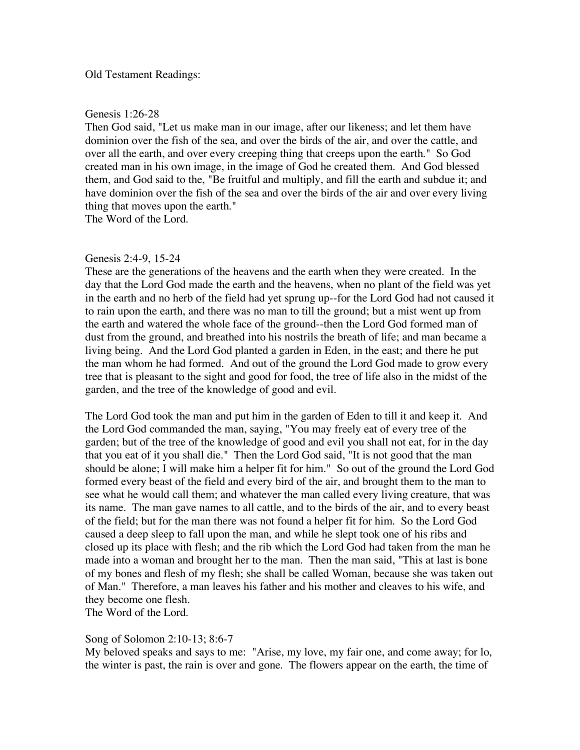#### Old Testament Readings:

## Genesis 1:26-28

Then God said, "Let us make man in our image, after our likeness; and let them have dominion over the fish of the sea, and over the birds of the air, and over the cattle, and over all the earth, and over every creeping thing that creeps upon the earth." So God created man in his own image, in the image of God he created them. And God blessed them, and God said to the, "Be fruitful and multiply, and fill the earth and subdue it; and have dominion over the fish of the sea and over the birds of the air and over every living thing that moves upon the earth."

The Word of the Lord.

## Genesis 2:4-9, 15-24

These are the generations of the heavens and the earth when they were created. In the day that the Lord God made the earth and the heavens, when no plant of the field was yet in the earth and no herb of the field had yet sprung up--for the Lord God had not caused it to rain upon the earth, and there was no man to till the ground; but a mist went up from the earth and watered the whole face of the ground--then the Lord God formed man of dust from the ground, and breathed into his nostrils the breath of life; and man became a living being. And the Lord God planted a garden in Eden, in the east; and there he put the man whom he had formed. And out of the ground the Lord God made to grow every tree that is pleasant to the sight and good for food, the tree of life also in the midst of the garden, and the tree of the knowledge of good and evil.

The Lord God took the man and put him in the garden of Eden to till it and keep it. And the Lord God commanded the man, saying, "You may freely eat of every tree of the garden; but of the tree of the knowledge of good and evil you shall not eat, for in the day that you eat of it you shall die." Then the Lord God said, "It is not good that the man should be alone; I will make him a helper fit for him." So out of the ground the Lord God formed every beast of the field and every bird of the air, and brought them to the man to see what he would call them; and whatever the man called every living creature, that was its name. The man gave names to all cattle, and to the birds of the air, and to every beast of the field; but for the man there was not found a helper fit for him. So the Lord God caused a deep sleep to fall upon the man, and while he slept took one of his ribs and closed up its place with flesh; and the rib which the Lord God had taken from the man he made into a woman and brought her to the man. Then the man said, "This at last is bone of my bones and flesh of my flesh; she shall be called Woman, because she was taken out of Man." Therefore, a man leaves his father and his mother and cleaves to his wife, and they become one flesh.

The Word of the Lord.

## Song of Solomon 2:10-13; 8:6-7

My beloved speaks and says to me: "Arise, my love, my fair one, and come away; for lo, the winter is past, the rain is over and gone. The flowers appear on the earth, the time of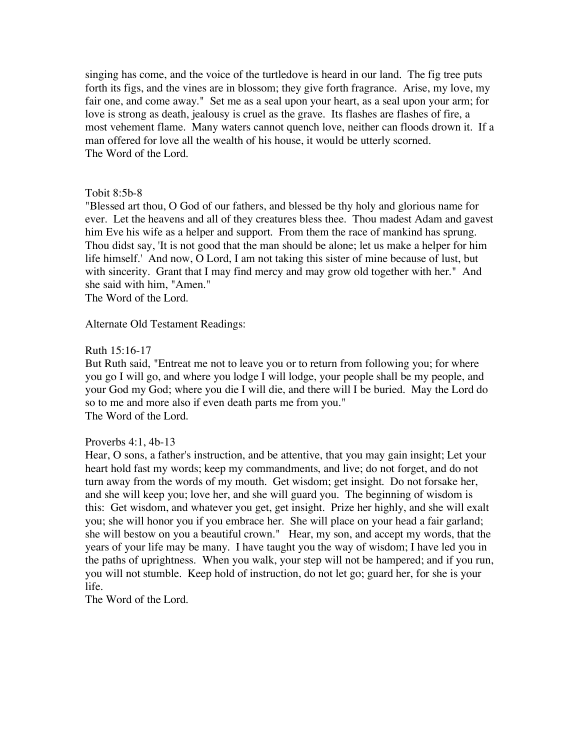singing has come, and the voice of the turtledove is heard in our land. The fig tree puts forth its figs, and the vines are in blossom; they give forth fragrance. Arise, my love, my fair one, and come away." Set me as a seal upon your heart, as a seal upon your arm; for love is strong as death, jealousy is cruel as the grave. Its flashes are flashes of fire, a most vehement flame. Many waters cannot quench love, neither can floods drown it. If a man offered for love all the wealth of his house, it would be utterly scorned. The Word of the Lord.

## Tobit 8:5b-8

"Blessed art thou, O God of our fathers, and blessed be thy holy and glorious name for ever. Let the heavens and all of they creatures bless thee. Thou madest Adam and gavest him Eve his wife as a helper and support. From them the race of mankind has sprung. Thou didst say, 'It is not good that the man should be alone; let us make a helper for him life himself.' And now, O Lord, I am not taking this sister of mine because of lust, but with sincerity. Grant that I may find mercy and may grow old together with her." And she said with him, "Amen."

The Word of the Lord.

Alternate Old Testament Readings:

## Ruth 15:16-17

But Ruth said, "Entreat me not to leave you or to return from following you; for where you go I will go, and where you lodge I will lodge, your people shall be my people, and your God my God; where you die I will die, and there will I be buried. May the Lord do so to me and more also if even death parts me from you." The Word of the Lord.

## Proverbs 4:1, 4b-13

Hear, O sons, a father's instruction, and be attentive, that you may gain insight; Let your heart hold fast my words; keep my commandments, and live; do not forget, and do not turn away from the words of my mouth. Get wisdom; get insight. Do not forsake her, and she will keep you; love her, and she will guard you. The beginning of wisdom is this: Get wisdom, and whatever you get, get insight. Prize her highly, and she will exalt you; she will honor you if you embrace her. She will place on your head a fair garland; she will bestow on you a beautiful crown." Hear, my son, and accept my words, that the years of your life may be many. I have taught you the way of wisdom; I have led you in the paths of uprightness. When you walk, your step will not be hampered; and if you run, you will not stumble. Keep hold of instruction, do not let go; guard her, for she is your life.

The Word of the Lord.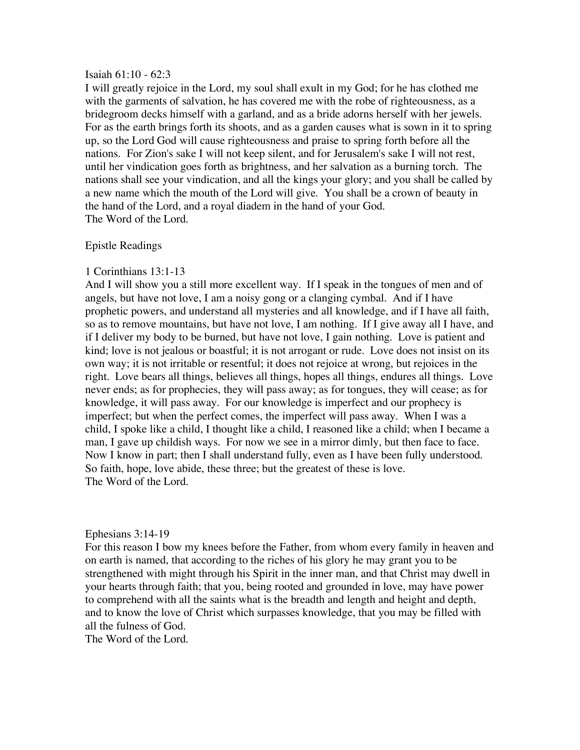#### Isaiah 61:10 - 62:3

I will greatly rejoice in the Lord, my soul shall exult in my God; for he has clothed me with the garments of salvation, he has covered me with the robe of righteousness, as a bridegroom decks himself with a garland, and as a bride adorns herself with her jewels. For as the earth brings forth its shoots, and as a garden causes what is sown in it to spring up, so the Lord God will cause righteousness and praise to spring forth before all the nations. For Zion's sake I will not keep silent, and for Jerusalem's sake I will not rest, until her vindication goes forth as brightness, and her salvation as a burning torch. The nations shall see your vindication, and all the kings your glory; and you shall be called by a new name which the mouth of the Lord will give. You shall be a crown of beauty in the hand of the Lord, and a royal diadem in the hand of your God. The Word of the Lord.

## Epistle Readings

## 1 Corinthians 13:1-13

And I will show you a still more excellent way. If I speak in the tongues of men and of angels, but have not love, I am a noisy gong or a clanging cymbal. And if I have prophetic powers, and understand all mysteries and all knowledge, and if I have all faith, so as to remove mountains, but have not love, I am nothing. If I give away all I have, and if I deliver my body to be burned, but have not love, I gain nothing. Love is patient and kind; love is not jealous or boastful; it is not arrogant or rude. Love does not insist on its own way; it is not irritable or resentful; it does not rejoice at wrong, but rejoices in the right. Love bears all things, believes all things, hopes all things, endures all things. Love never ends; as for prophecies, they will pass away; as for tongues, they will cease; as for knowledge, it will pass away. For our knowledge is imperfect and our prophecy is imperfect; but when the perfect comes, the imperfect will pass away. When I was a child, I spoke like a child, I thought like a child, I reasoned like a child; when I became a man, I gave up childish ways. For now we see in a mirror dimly, but then face to face. Now I know in part; then I shall understand fully, even as I have been fully understood. So faith, hope, love abide, these three; but the greatest of these is love. The Word of the Lord.

## Ephesians 3:14-19

For this reason I bow my knees before the Father, from whom every family in heaven and on earth is named, that according to the riches of his glory he may grant you to be strengthened with might through his Spirit in the inner man, and that Christ may dwell in your hearts through faith; that you, being rooted and grounded in love, may have power to comprehend with all the saints what is the breadth and length and height and depth, and to know the love of Christ which surpasses knowledge, that you may be filled with all the fulness of God.

The Word of the Lord.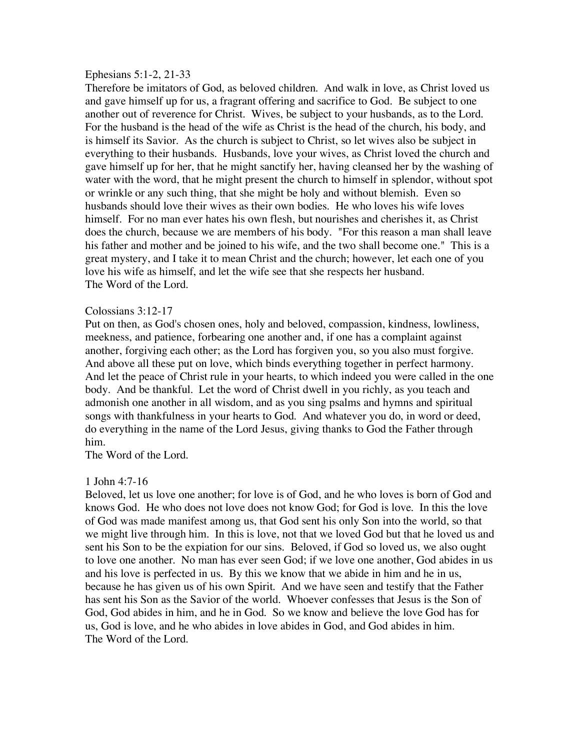#### Ephesians 5:1-2, 21-33

Therefore be imitators of God, as beloved children. And walk in love, as Christ loved us and gave himself up for us, a fragrant offering and sacrifice to God. Be subject to one another out of reverence for Christ. Wives, be subject to your husbands, as to the Lord. For the husband is the head of the wife as Christ is the head of the church, his body, and is himself its Savior. As the church is subject to Christ, so let wives also be subject in everything to their husbands. Husbands, love your wives, as Christ loved the church and gave himself up for her, that he might sanctify her, having cleansed her by the washing of water with the word, that he might present the church to himself in splendor, without spot or wrinkle or any such thing, that she might be holy and without blemish. Even so husbands should love their wives as their own bodies. He who loves his wife loves himself. For no man ever hates his own flesh, but nourishes and cherishes it, as Christ does the church, because we are members of his body. "For this reason a man shall leave his father and mother and be joined to his wife, and the two shall become one." This is a great mystery, and I take it to mean Christ and the church; however, let each one of you love his wife as himself, and let the wife see that she respects her husband. The Word of the Lord.

## Colossians 3:12-17

Put on then, as God's chosen ones, holy and beloved, compassion, kindness, lowliness, meekness, and patience, forbearing one another and, if one has a complaint against another, forgiving each other; as the Lord has forgiven you, so you also must forgive. And above all these put on love, which binds everything together in perfect harmony. And let the peace of Christ rule in your hearts, to which indeed you were called in the one body. And be thankful. Let the word of Christ dwell in you richly, as you teach and admonish one another in all wisdom, and as you sing psalms and hymns and spiritual songs with thankfulness in your hearts to God. And whatever you do, in word or deed, do everything in the name of the Lord Jesus, giving thanks to God the Father through him.

The Word of the Lord.

## 1 John 4:7-16

Beloved, let us love one another; for love is of God, and he who loves is born of God and knows God. He who does not love does not know God; for God is love. In this the love of God was made manifest among us, that God sent his only Son into the world, so that we might live through him. In this is love, not that we loved God but that he loved us and sent his Son to be the expiation for our sins. Beloved, if God so loved us, we also ought to love one another. No man has ever seen God; if we love one another, God abides in us and his love is perfected in us. By this we know that we abide in him and he in us, because he has given us of his own Spirit. And we have seen and testify that the Father has sent his Son as the Savior of the world. Whoever confesses that Jesus is the Son of God, God abides in him, and he in God. So we know and believe the love God has for us, God is love, and he who abides in love abides in God, and God abides in him. The Word of the Lord.